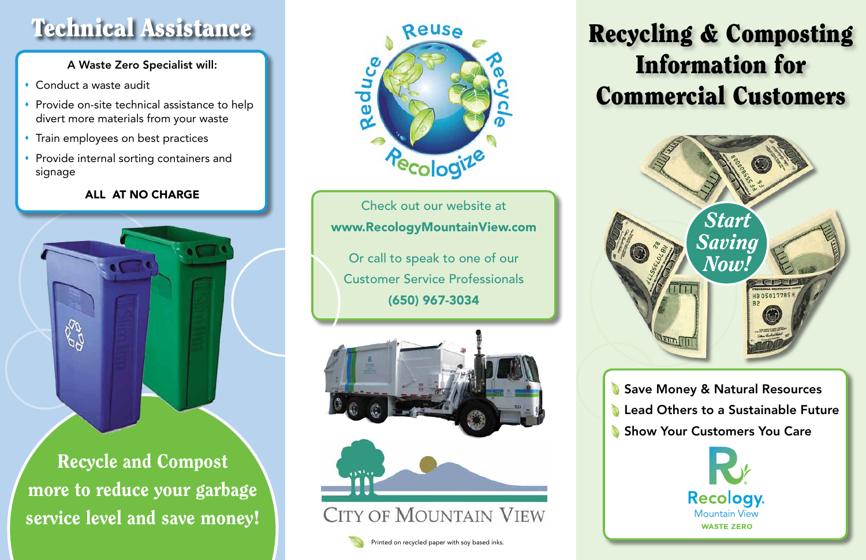## Recycling & Composting Information for Commercial Customers



Save Money & Natural Resources **Lead Others to a Sustainable Future** Show Your Customers You Care



Check out our website at www.RecologyMountainView.com

Or call to speak to one of our Customer Service Professionals (650) 967-3034





- Conduct a waste audit
- $\cdot$  Provide on-site technical assistance to help divert more materials from your waste
- **\*** Train employees on best practices
- **Provide internal sorting containers and** signage

Recycle and Compost more to reduce your garbage service level and save money!



## Technical Assistance

### A Waste Zero Specialist will:

### ALL AT NO CHARGE